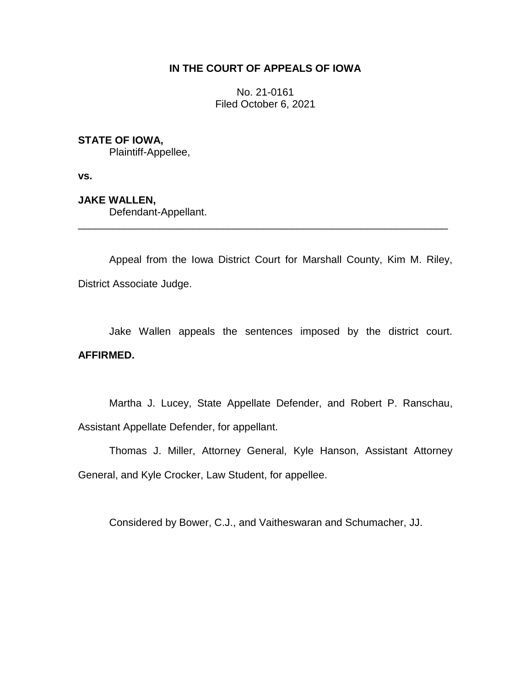## **IN THE COURT OF APPEALS OF IOWA**

No. 21-0161 Filed October 6, 2021

## **STATE OF IOWA,**

Plaintiff-Appellee,

**vs.**

**JAKE WALLEN,** Defendant-Appellant.

Appeal from the Iowa District Court for Marshall County, Kim M. Riley, District Associate Judge.

\_\_\_\_\_\_\_\_\_\_\_\_\_\_\_\_\_\_\_\_\_\_\_\_\_\_\_\_\_\_\_\_\_\_\_\_\_\_\_\_\_\_\_\_\_\_\_\_\_\_\_\_\_\_\_\_\_\_\_\_\_\_\_\_

Jake Wallen appeals the sentences imposed by the district court. **AFFIRMED.**

Martha J. Lucey, State Appellate Defender, and Robert P. Ranschau, Assistant Appellate Defender, for appellant.

Thomas J. Miller, Attorney General, Kyle Hanson, Assistant Attorney General, and Kyle Crocker, Law Student, for appellee.

Considered by Bower, C.J., and Vaitheswaran and Schumacher, JJ.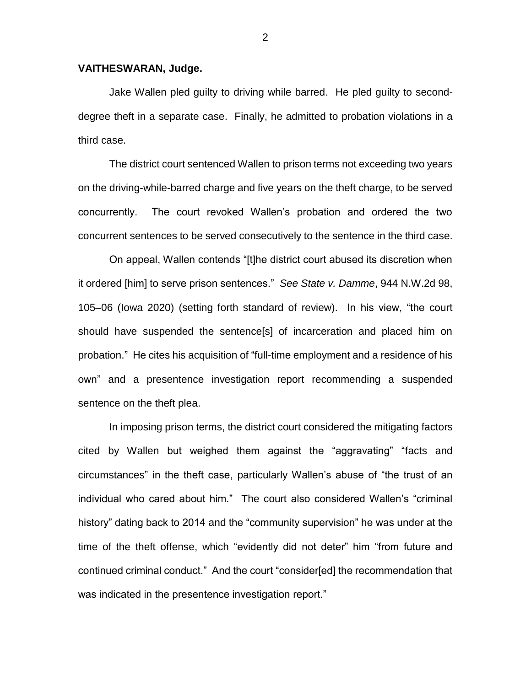## **VAITHESWARAN, Judge.**

Jake Wallen pled guilty to driving while barred. He pled guilty to seconddegree theft in a separate case. Finally, he admitted to probation violations in a third case.

The district court sentenced Wallen to prison terms not exceeding two years on the driving-while-barred charge and five years on the theft charge, to be served concurrently. The court revoked Wallen's probation and ordered the two concurrent sentences to be served consecutively to the sentence in the third case.

On appeal, Wallen contends "[t]he district court abused its discretion when it ordered [him] to serve prison sentences." *See State v. Damme*, 944 N.W.2d 98, 105–06 (Iowa 2020) (setting forth standard of review). In his view, "the court should have suspended the sentence[s] of incarceration and placed him on probation." He cites his acquisition of "full-time employment and a residence of his own" and a presentence investigation report recommending a suspended sentence on the theft plea.

In imposing prison terms, the district court considered the mitigating factors cited by Wallen but weighed them against the "aggravating" "facts and circumstances" in the theft case, particularly Wallen's abuse of "the trust of an individual who cared about him." The court also considered Wallen's "criminal history" dating back to 2014 and the "community supervision" he was under at the time of the theft offense, which "evidently did not deter" him "from future and continued criminal conduct." And the court "consider[ed] the recommendation that was indicated in the presentence investigation report."